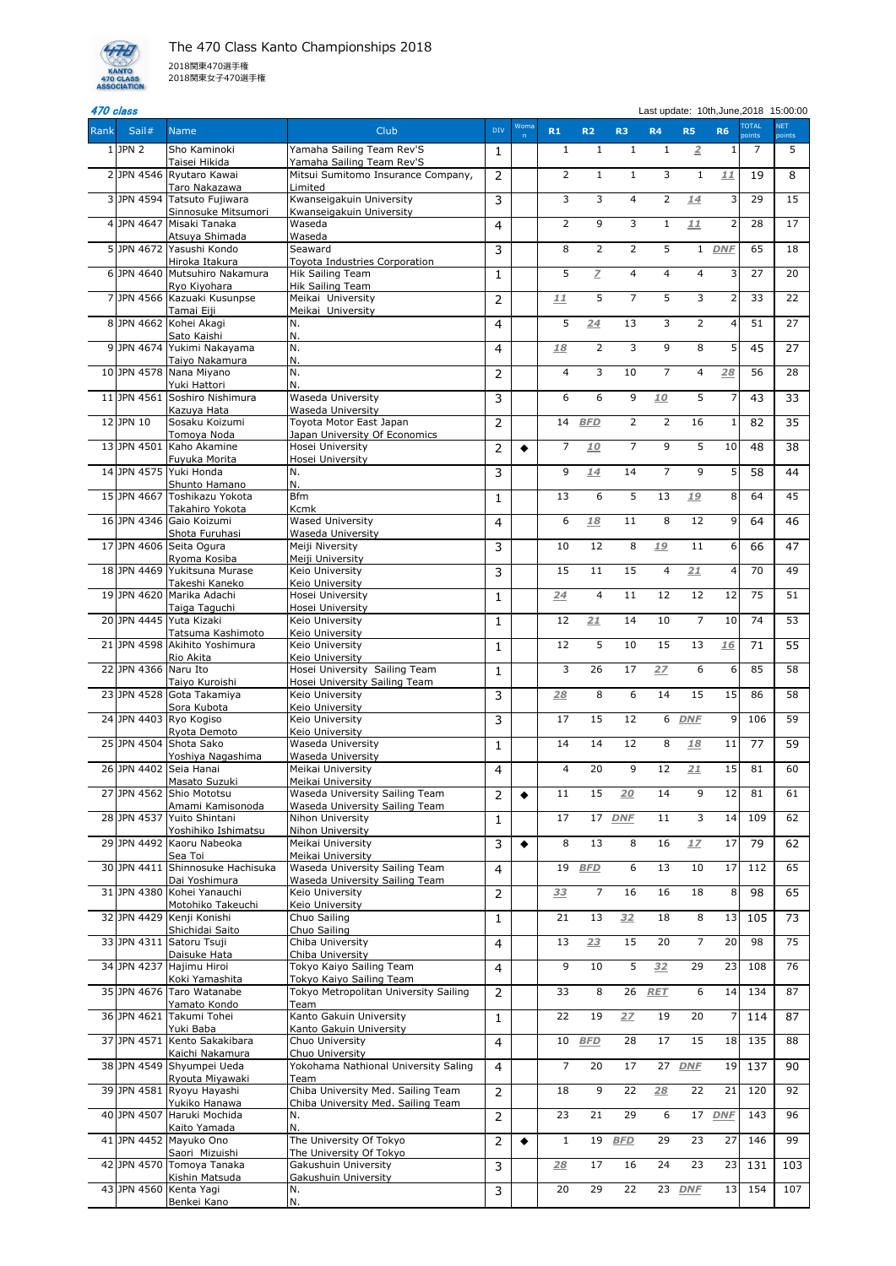

## er and the set of the set of the set of the set of the set of the set of the set of the set of the set of the set of the set of the set of the set of the set of the set of the set of the set of the set of the set of the se

| Rank           | Sail#                | <b>Name</b>                                        | Club                                                            | <b>DIV</b>     | Woma      | R1             | R <sub>2</sub> | R <sub>3</sub> | R <sub>4</sub>  | <b>R5</b>      | <b>R6</b>      | <b>TOTAL</b><br>points | <b>NET</b><br>points |
|----------------|----------------------|----------------------------------------------------|-----------------------------------------------------------------|----------------|-----------|----------------|----------------|----------------|-----------------|----------------|----------------|------------------------|----------------------|
|                | $1$ JPN 2            | Sho Kaminoki<br>Taisei Hikida                      | Yamaha Sailing Team Rev'S                                       | $\mathbf{1}$   |           | $\mathbf{1}$   | $\mathbf{1}$   | $\mathbf{1}$   | $\mathbf{1}$    | $\overline{2}$ |                | 7                      | 5                    |
|                |                      | 2 JPN 4546 Ryutaro Kawai                           | Yamaha Sailing Team Rev'S<br>Mitsui Sumitomo Insurance Company, | $\overline{2}$ |           | $\overline{2}$ | $\mathbf{1}$   | $\mathbf{1}$   | 3               | $\mathbf{1}$   | 11             | 19                     | 8                    |
|                |                      | Taro Nakazawa<br>3 JPN 4594 Tatsuto Fujiwara       | Limited<br>Kwanseigakuin University                             | 3              |           | 3              | 3              | $\overline{4}$ | $\overline{2}$  | 14             | 3              | 29                     | 15                   |
| $\overline{4}$ | JPN 4647             | Sinnosuke Mitsumori<br>Misaki Tanaka               | Kwanseigakuin University<br>Waseda                              | 4              |           | $\overline{2}$ | 9              | 3              | $\mathbf{1}$    | 11             | 2              | 28                     | 17                   |
|                |                      | Atsuya Shimada                                     | Waseda                                                          |                |           |                |                |                |                 |                |                |                        |                      |
|                |                      | 5 JPN 4672 Yasushi Kondo<br>Hiroka Itakura         | Seaward<br>Toyota Industries Corporation                        | 3              |           | 8              | $\overline{2}$ | $\overline{2}$ | 5               | $\mathbf{1}$   | <b>DNF</b>     | 65                     | 18                   |
|                |                      | 61JPN 4640 Mutsuhiro Nakamura<br>Ryo Kiyohara      | <b>Hik Sailing Team</b><br>Hik Sailing Team                     | $\mathbf{1}$   |           | 5              | Z              | 4              | 4               | $\overline{4}$ | 3              | 27                     | 20                   |
|                |                      | 7JPN 4566 Kazuaki Kusunpse                         | Meikai University                                               | $\overline{2}$ |           | 11             | 5              | $\overline{7}$ | $\overline{5}$  | 3              | 2              | 33                     | 22                   |
|                |                      | Tamai Eiji<br>8 JPN 4662 Kohei Akagi               | Meikai University<br>N.                                         | $\overline{4}$ |           | 5              | 24             | 13             | 3               | $\overline{2}$ | 4              | 51                     | 27                   |
|                |                      | Sato Kaishi<br>9 JPN 4674 Yukimi Nakayama          | N.<br>N.                                                        | 4              |           | 18             | $\overline{2}$ | 3              | 9               | 8              | 5              | 45                     | 27                   |
|                |                      | Taiyo Nakamura<br>10 JPN 4578 Nana Miyano          | l٨.<br>N.                                                       |                |           | 4              | 3              | 10             | $\overline{7}$  | 4              | 28             | 56                     | 28                   |
|                |                      | Yuki Hattori                                       | IN.                                                             | $\overline{2}$ |           |                |                |                |                 |                |                |                        |                      |
|                | 11 JPN 4561          | Soshiro Nishimura<br>Kazuya Hata                   | <b>Waseda University</b><br><b>Waseda University</b>            | 3              |           | 6              | 6              | 9              | 10              | 5              |                | 43                     | 33                   |
|                | 12 JPN 10            | Sosaku Koizumi                                     | Toyota Motor East Japan<br>Japan University Of Economics        | $\overline{2}$ |           | 14             | <b>BFD</b>     | $\overline{2}$ | $\overline{2}$  | 16             | 1              | 82                     | 35                   |
|                | 13JPN 4501           | Tomoya Noda<br>Kaho Akamine                        | Hosei University                                                | $\overline{2}$ | $\bullet$ | 7              | 10             | $\overline{7}$ | 9               | 5              | 10             | 48                     | 38                   |
|                |                      | Fuyuka Morita<br>14 JPN 4575 Yuki Honda            | Hosei University<br>IN.                                         | 3              |           | 9              | 14             | 14             | $\overline{7}$  | 9              | 51             | 58                     | 44                   |
|                |                      | Shunto Hamano<br>15JPN 4667 Toshikazu Yokota       | l٨.<br><b>Bfm</b>                                               | 1              |           | 13             | 6              | 5              | 13              | 19             | 8              | 64                     | 45                   |
|                |                      | Takahiro Yokota                                    | <b>Kcmk</b>                                                     |                |           |                |                |                |                 |                |                |                        |                      |
|                |                      | 16JPN 4346 Gaio Koizumi<br>Shota Furuhasi          | <b>Wased University</b><br>Waseda University                    | $\overline{4}$ |           | 6              | 18             | 11             | 8               | 12             | $\overline{9}$ | 64                     | 46                   |
|                |                      | 17 JPN 4606 Seita Ogura<br>Ryoma Kosiba            | Meiji Niversity<br>Meiji University                             | 3              |           | 10             | 12             | 8              | 19              | 11             | $6 \mid$       | 66                     | 47                   |
|                |                      | 18JPN 4469 Yukitsuna Murase                        | Keio University                                                 | 3              |           | 15             | 11             | 15             | 4               | 21             | 4              | 70                     | 49                   |
|                |                      | Takeshi Kaneko<br>19 JPN 4620 Marika Adachi        | Keio University<br>Hosei University                             | $\mathbf 1$    |           | 24             | 4              | 11             | 12              | 12             | 12             | 75                     | 51                   |
|                |                      | Taiga Taguchi<br>20JPN 4445 Yuta Kizaki            | Hosei University<br>Keio University                             | $\mathbf{1}$   |           | 12             | 21             | 14             | 10              | $\overline{7}$ | 10             | 74                     | 53                   |
|                |                      | Tatsuma Kashimoto<br>21 JPN 4598 Akihito Yoshimura | Keio University<br>Keio University                              |                |           | 12             | 5              | 10             | 15              | 13             |                |                        | 55                   |
|                |                      | Rio Akita                                          | Keio University                                                 | $\mathbf{1}$   |           |                |                |                |                 |                | 16             | 71                     |                      |
|                | 22 JPN 4366 Naru Ito | Taiyo Kuroishi                                     | Hosei University Sailing Team<br>Hosei University Sailing Team  | $\mathbf{1}$   |           | 3              | 26             | 17             | 2Z              | 6              | 6              | 85                     | 58                   |
|                |                      | 23 JPN 4528 Gota Takamiya<br>Sora Kubota           | Keio University<br>Keio University                              | 3              |           | 28             | 8              | 6              | 14              | 15             | 15             | 86                     | 58                   |
|                |                      | 24 JPN 4403 Ryo Kogiso                             | Keio University                                                 | 3              |           | 17             | 15             | 12             | 6               | <b>DNF</b>     | 9              | 106                    | 59                   |
|                |                      | Ryota Demoto<br>25 JPN 4504 Shota Sako             | Keio University<br><b>Waseda University</b>                     | $\mathbf{1}$   |           | 14             | 14             | 12             | 8               | 18             | 11             | 77                     | 59                   |
|                |                      | Yoshiya Nagashima<br>26 JPN 4402 Seia Hanai        | <b>Waseda University</b><br>Meikai University                   | $\overline{4}$ |           | $\overline{4}$ | 20             | 9              | $\overline{12}$ | 21             | 15             | 81                     | 60                   |
|                |                      | Masato Suzuki<br>27JPN 4562 Shio Mototsu           | Meikai University<br><b>Waseda University Sailing Team</b>      |                |           | 11             | 15             | 20             | 14              | 9              | 12             | 81                     | 61                   |
|                |                      | Amami Kamisonoda                                   | Waseda University Sailing Team                                  | $\overline{2}$ | $\bullet$ |                |                |                |                 |                |                |                        |                      |
|                |                      | 28 JPN 4537 Yuito Shintani<br>Yoshihiko Ishimatsu  | Nihon University<br>Nihon University                            | $\mathbf{1}$   |           | 17             | 17             | <b>DNF</b>     | 11              | 3              | 14             | 109                    | 62                   |
|                |                      | 29JPN 4492 Kaoru Nabeoka<br>Sea Toi                | Meikai University<br>Meikai University                          | 3              | $\bullet$ | 8              | 13             | 8              | 16              | 17             | 17             | 79                     | 62                   |
|                | 30 JPN 4411          | Shinnosuke Hachisuka                               | <b>Waseda University Sailing Team</b>                           | $\overline{4}$ |           | 19             | <b>BFD</b>     | 6              | 13              | 10             | 17             | 112                    | 65                   |
|                |                      | Dai Yoshimura<br>31 JPN 4380 Kohei Yanauchi        | Waseda University Sailing Team<br>Keio University               | 2              |           | 33             | $\overline{7}$ | 16             | 16              | 18             | 8              | 98                     | 65                   |
|                |                      | Motohiko Takeuchi<br>32 JPN 4429 Kenji Konishi     | Keio University<br>Chuo Sailing                                 | $\mathbf{1}$   |           | 21             | 13             | 32             | 18              | 8              | 13             | 105                    | 73                   |
|                |                      | Shichidai Saito<br>33 JPN 4311 Satoru Tsuji        | Chuo Sailing<br>Chiba University                                | $\overline{4}$ |           | 13             | 23             | 15             | 20              | $\overline{7}$ | 20             | 98                     | 75                   |
|                |                      | Daisuke Hata                                       | Chiba University                                                |                |           |                |                |                |                 |                |                |                        |                      |
|                |                      | 34 JPN 4237 Hajimu Hiroi<br>Koki Yamashita         | Tokyo Kaiyo Sailing Team<br>Tokyo Kaiyo Sailing Team            | $\overline{4}$ |           | 9              | 10             | 5              | 32              | 29             | 23             | 108                    | 76                   |
|                |                      | 35 JPN 4676 Taro Watanabe<br>Yamato Kondo          | Tokyo Metropolitan University Sailing<br>Team                   | $\overline{2}$ |           | 33             | 8              | 26             | <b>RET</b>      | 6              | 14             | 134                    | 87                   |
|                | 36 JPN 4621          | Takumi Tohei                                       | Kanto Gakuin University                                         | $\mathbf{1}$   |           | 22             | 19             | 2Z             | 19              | 20             |                | 114                    | 87                   |
|                |                      | Yuki Baba<br>37 JPN 4571 Kento Sakakibara          | Kanto Gakuin University<br>Chuo University                      | $\overline{4}$ |           | 10             | <b>BFD</b>     | 28             | 17              | 15             | 18             | 135                    | 88                   |
|                |                      | Kaichi Nakamura<br>38 JPN 4549 Shyumpei Ueda       | Chuo University<br>Yokohama Nathional University Saling         | $\overline{4}$ |           | $\overline{7}$ | 20             | 17             |                 | 27 DNE         | 19             | 137                    | 90                   |
|                | 39 JPN 4581          | Ryouta Miyawaki<br>Ryoyu Hayashi                   | Team<br>Chiba University Med. Sailing Team                      |                |           | 18             | 9              | 22             | 28              | 22             | 21             | 120                    | 92                   |
|                |                      | Yukiko Hanawa                                      | Chiba University Med. Sailing Team                              | $\overline{2}$ |           |                |                |                |                 |                |                |                        |                      |
|                | 40 JPN 4507          | Haruki Mochida<br>Kaito Yamada                     | IN.<br>lΝ.                                                      | $\overline{2}$ |           | 23             | 21             | 29             | 6               |                | 17 DNF         | 143                    | 96                   |
|                |                      | 41 JPN 4452 Mayuko Ono<br>Saori Mizuishi           | The University Of Tokyo<br>The University Of Tokyo              | $\overline{2}$ | $\bullet$ | $\mathbf{1}$   | 19             | <b>BFD</b>     | 29              | 23             | 27             | 146                    | 99                   |
|                |                      | 42 JPN 4570 Tomoya Tanaka                          | Gakushuin University                                            | $\overline{3}$ |           | 28             | 17             | 16             | 24              | 23             | 23             | 131                    | 103                  |
|                |                      | Kishin Matsuda<br>43 JPN 4560 Kenta Yagi           | Gakushuin University<br>l٨.                                     | $\overline{3}$ |           | 20             | 29             | 22             | 23              | <b>DNE</b>     | 13             | 154                    | 107                  |
|                |                      | Benkei Kano                                        | N.                                                              |                |           |                |                |                |                 |                |                |                        |                      |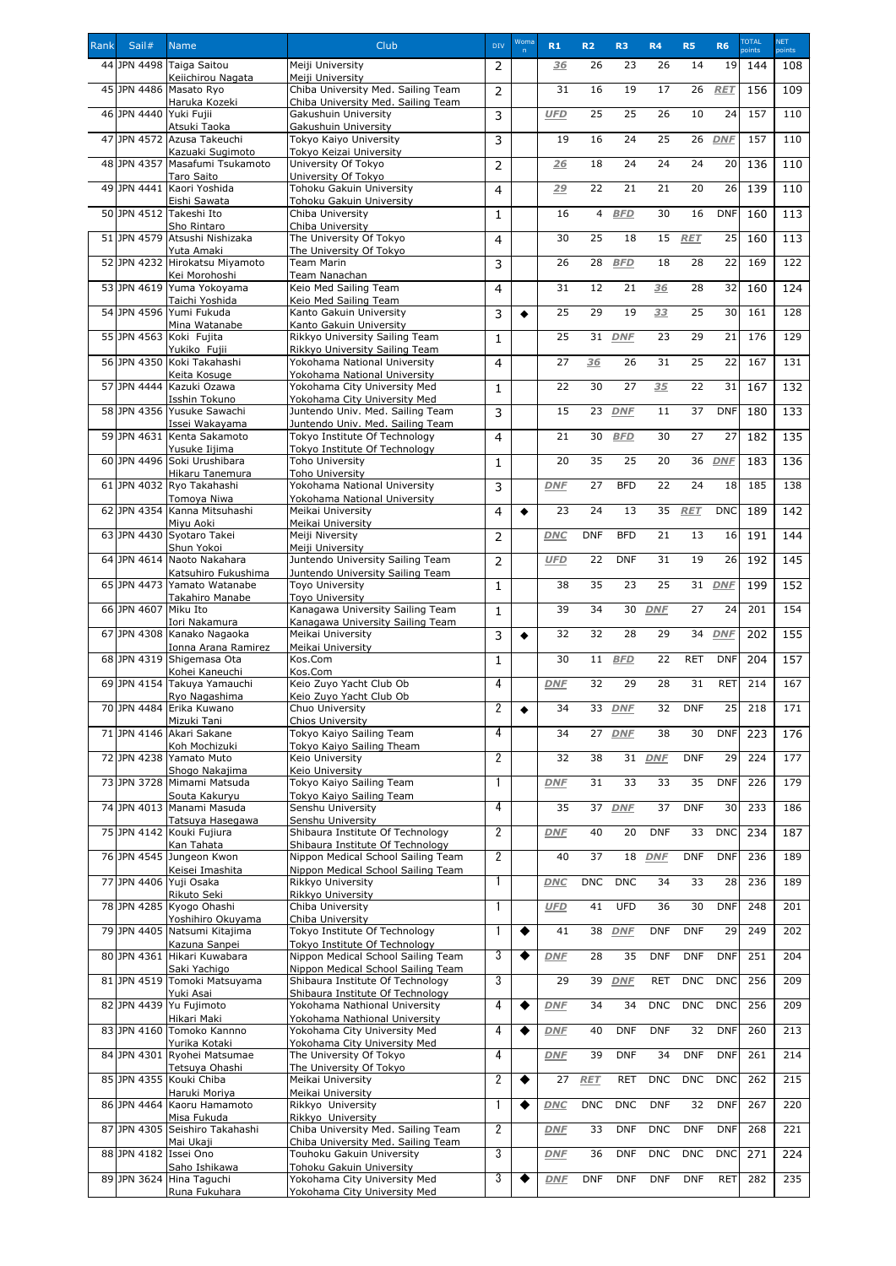| Rank | Sail#                  | <b>Name</b>                                        | Club                                                                   | <b>DIV</b>     | Woma      | R1         | R <sub>2</sub> | R <sub>3</sub>  | R <sub>4</sub> | <b>R5</b>  | <b>R6</b>  | <b>TOTAL</b><br>points | NET.<br>points |
|------|------------------------|----------------------------------------------------|------------------------------------------------------------------------|----------------|-----------|------------|----------------|-----------------|----------------|------------|------------|------------------------|----------------|
|      |                        | 44 JPN 4498 Taiga Saitou                           | Meiji University                                                       | $\overline{2}$ |           | 36         | 26             | 23              | 26             | 14         | 19         | 144                    | 108            |
|      |                        | Keiichirou Nagata<br>45 JPN 4486 Masato Ryo        | Meiji University<br>Chiba University Med. Sailing Team                 |                |           | 31         | 16             | 19              | 17             | 26         | RET        | 156                    | 109            |
|      |                        | Haruka Kozeki                                      | Chiba University Med. Sailing Team                                     | $\overline{2}$ |           |            |                |                 |                |            |            |                        |                |
|      | 46 JPN 4440 Yuki Fujii | Atsuki Taoka                                       | Gakushuin University<br>Gakushuin University                           | 3              |           | <b>UFD</b> | 25             | 25              | 26             | 10         | 24         | 157                    | 110            |
|      |                        | 47 JPN 4572 Azusa Takeuchi                         | Tokyo Kaiyo University                                                 | 3              |           | 19         | 16             | 24              | 25             | 26         | <b>DNF</b> | 157                    | 110            |
|      | 48 JPN 4357            | Kazuaki Sugimoto<br>Masafumi Tsukamoto             | Tokyo Keizai University<br>University Of Tokyo                         | $\overline{2}$ |           | 26         | 18             | 24              | 24             | 24         | 20         | 136                    | 110            |
|      |                        | <b>Taro Saito</b>                                  | University Of Tokyo                                                    |                |           |            |                |                 |                |            |            |                        |                |
|      | 49JPN 4441             | Kaori Yoshida<br>Eishi Sawata                      | Tohoku Gakuin University<br>Tohoku Gakuin University                   | $\overline{4}$ |           | 29         | 22             | 21              | 21             | 20         | 26         | 139                    | 110            |
|      |                        | 50 JPN 4512 Takeshi Ito                            | Chiba University                                                       | $\mathbf{1}$   |           | 16         | $\overline{4}$ | <b>BFD</b>      | 30             | 16         | <b>DNF</b> | 160                    | 113            |
|      |                        | Sho Rintaro<br>51 JPN 4579 Atsushi Nishizaka       | Chiba University<br>The University Of Tokyo                            | $\overline{4}$ |           | 30         | 25             | 18              | 15             | <b>RET</b> | 25         | 160                    | 113            |
|      |                        | Yuta Amaki<br>52 JPN 4232 Hirokatsu Miyamoto       | The University Of Tokyo<br><b>Team Marin</b>                           | 3              |           | 26         | 28             | <b>BFD</b>      | 18             | 28         | 22         | 169                    | 122            |
|      |                        | Kei Morohoshi                                      | Team Nanachan                                                          |                |           |            |                |                 |                |            |            |                        |                |
|      |                        | 53 JPN 4619 Yuma Yokoyama<br>Taichi Yoshida        | Keio Med Sailing Team<br>Keio Med Sailing Team                         | $\overline{4}$ |           | 31         | 12             | 21              | 36             | 28         | 32         | 160                    | 124            |
|      |                        | 54 JPN 4596 Yumi Fukuda                            | Kanto Gakuin University                                                | 3              | ♦         | 25         | 29             | 19              | 33             | 25         | 30         | 161                    | 128            |
|      |                        | Mina Watanabe<br>55 JPN 4563 Koki Fujita           | Kanto Gakuin University<br>Rikkyo University Sailing Team              | $\mathbf{1}$   |           | 25         | 31             | <b>DNF</b>      | 23             | 29         | 21         | 176                    | 129            |
|      |                        | Yukiko Fujii                                       | Rikkyo University Sailing Team                                         |                |           |            |                |                 |                |            |            |                        |                |
|      |                        | 56JPN 4350 Koki Takahashi<br>Keita Kosuge          | Yokohama National University<br>Yokohama National University           | $\overline{4}$ |           | 27         | 36             | 26              | 31             | 25         | 22         | 167                    | 131            |
|      |                        | 57 JPN 4444 Kazuki Ozawa                           | Yokohama City University Med                                           | $\mathbf{1}$   |           | 22         | 30             | 27              | 35             | 22         | 31         | 167                    | 132            |
|      |                        | Isshin Tokuno<br>58JPN 4356 Yusuke Sawachi         | Yokohama City University Med<br>Juntendo Univ. Med. Sailing Team       | 3              |           | 15         | 23             | <b>DNF</b>      | 11             | 37         | <b>DNF</b> | 180                    | 133            |
|      |                        | Issei Wakayama<br>59JPN 4631 Kenta Sakamoto        | Juntendo Univ. Med. Sailing Team<br>Tokyo Institute Of Technology      |                |           | 21         | 30             | <b>BFD</b>      | 30             | 27         | 27         | 182                    | 135            |
|      |                        | Yusuke Iijima                                      | Tokyo Institute Of Technology                                          | 4              |           |            |                |                 |                |            |            |                        |                |
|      |                        | 60 JPN 4496 Soki Urushibara<br>Hikaru Tanemura     | Toho University<br><b>Toho University</b>                              | $\mathbf 1$    |           | 20         | 35             | 25              | 20             | 36         | <b>DNF</b> | 183                    | 136            |
|      |                        | 61 JPN 4032 Ryo Takahashi                          | Yokohama National University                                           | 3              |           | <b>DNF</b> | 27             | <b>BFD</b>      | 22             | 24         | 18         | 185                    | 138            |
|      |                        | Tomoya Niwa<br>62 JPN 4354 Kanna Mitsuhashi        | Yokohama National University<br>Meikai University                      | 4              |           | 23         | 24             | 13              | 35             | <b>RET</b> | <b>DNC</b> | 189                    | 142            |
|      |                        | Miyu Aoki                                          | Meikai University                                                      |                |           |            |                |                 |                |            |            |                        |                |
|      |                        | 63 JPN 4430 Syotaro Takei<br>Shun Yokoi            | Meiji Niversity<br>Meiji University                                    | $\overline{2}$ |           | <b>DNC</b> | <b>DNF</b>     | <b>BFD</b>      | 21             | 13         | 16         | 191                    | 144            |
|      |                        | 64 JPN 4614 Naoto Nakahara                         | Juntendo University Sailing Team                                       | $\overline{2}$ |           | <b>UFD</b> | 22             | <b>DNF</b>      | 31             | 19         | 26         | 192                    | 145            |
|      |                        | Katsuhiro Fukushima<br>65 JPN 4473 Yamato Watanabe | Juntendo University Sailing Team<br>Toyo University                    | $\mathbf{1}$   |           | 38         | 35             | 23              | 25             | 31         | <b>DNF</b> | 199                    | 152            |
|      |                        | Takahiro Manabe                                    | <b>Toyo University</b>                                                 |                |           |            |                |                 |                |            |            |                        |                |
|      | 66JPN 4607             | Miku Ito<br>Iori Nakamura                          | Kanagawa University Sailing Team<br>Kanagawa University Sailing Team   | $\mathbf{1}$   |           | 39         | 34             | 30              | <b>DNF</b>     | 27         | 24         | 201                    | 154            |
|      |                        | 67 JPN 4308 Kanako Nagaoka                         | Meikai University                                                      | 3              |           | 32         | 32             | 28              | 29             | 34         | <b>DNF</b> | 202                    | 155            |
|      |                        | Ionna Arana Ramirez<br>68 JPN 4319 Shigemasa Ota   | Meikai University<br>Kos.Com                                           | $\mathbf{1}$   |           | 30         | 11             | <b>BFD</b>      | 22             | <b>RET</b> | <b>DNF</b> | 204                    | 157            |
|      |                        | Kohei Kaneuchi<br>69 JPN 4154 Takuya Yamauchi      | Kos.Com<br>Keio Zuyo Yacht Club Ob                                     | 4              |           | <b>DNF</b> | 32             | 29              | 28             | 31         | <b>RET</b> | 214                    | 167            |
|      |                        | Ryo Nagashima                                      | Keio Zuyo Yacht Club Ob                                                |                |           |            |                |                 |                |            |            |                        |                |
|      |                        | 70 JPN 4484 Erika Kuwano<br>Mizuki Tani            | Chuo University<br>Chios University                                    | $\overline{2}$ | ▲         | 34         | 33             | <b>DNF</b>      | 32             | <b>DNF</b> | 25         | 218                    | 171            |
|      |                        | 71 JPN 4146 Akari Sakane                           | Tokyo Kaiyo Sailing Team                                               | 4              |           | 34         |                | 27 DNF          | 38             | 30         | <b>DNF</b> | 223                    | 176            |
|      |                        | Koh Mochizuki<br>72JPN 4238 Yamato Muto            | Tokyo Kaiyo Sailing Theam<br>Keio University                           | $\overline{2}$ |           | 32         | 38             | $\overline{31}$ | <b>DNF</b>     | <b>DNF</b> | 29         | 224                    | 177            |
|      |                        | Shogo Nakajima<br>73 JPN 3728 Mimami Matsuda       | Keio University<br>Tokyo Kaiyo Sailing Team                            |                |           | <b>DNF</b> | 31             | 33              | 33             | 35         | <b>DNF</b> | 226                    | 179            |
|      |                        | Souta Kakuryu                                      | Tokyo Kaiyo Sailing Team                                               |                |           |            |                |                 |                |            |            |                        |                |
|      |                        | 74 JPN 4013 Manami Masuda<br>Tatsuya Hasegawa      | Senshu University<br>Senshu University                                 | 4              |           | 35         | 37             | <b>DNF</b>      | 37             | <b>DNF</b> | 30         | 233                    | 186            |
|      |                        | 75 JPN 4142 Kouki Fujiura                          | Shibaura Institute Of Technology                                       | $\overline{2}$ |           | <b>DNF</b> | 40             | 20              | <b>DNF</b>     | 33         | <b>DNC</b> | 234                    | 187            |
|      |                        | Kan Tahata<br>76 JPN 4545 Jungeon Kwon             | Shibaura Institute Of Technology<br>Nippon Medical School Sailing Team | $\overline{2}$ |           | 40         | 37             | 18              | <b>DNF</b>     | <b>DNF</b> | <b>DNF</b> | 236                    | 189            |
|      |                        | Keisei Imashita                                    | Nippon Medical School Sailing Team                                     |                |           |            |                |                 |                |            |            |                        |                |
|      |                        | 77 JPN 4406 Yuji Osaka<br>Rikuto Seki              | Rikkyo University<br>Rikkyo University                                 |                |           | <b>DNC</b> | <b>DNC</b>     | <b>DNC</b>      | 34             | 33         | 28         | 236                    | 189            |
|      |                        | 78 JPN 4285 Kyogo Ohashi                           | Chiba University<br>Chiba University                                   | -1             |           | <b>UFD</b> | 41             | <b>UFD</b>      | 36             | 30         | <b>DNF</b> | 248                    | 201            |
|      |                        | Yoshihiro Okuyama<br>79 JPN 4405 Natsumi Kitajima  | Tokyo Institute Of Technology                                          |                | ◆         | 41         | 38             | <b>DNF</b>      | <b>DNF</b>     | <b>DNF</b> | 29         | 249                    | 202            |
|      |                        | Kazuna Sanpei<br>80 JPN 4361 Hikari Kuwabara       | Tokyo Institute Of Technology<br>Nippon Medical School Sailing Team    | 3              | ◆         | <b>DNF</b> | 28             | 35              | <b>DNF</b>     | <b>DNF</b> | <b>DNF</b> | 251                    | 204            |
|      |                        | Saki Yachigo                                       | Nippon Medical School Sailing Team                                     |                |           |            |                |                 |                |            |            |                        |                |
|      |                        | 81 JPN 4519 Tomoki Matsuyama<br>Yuki Asai          | Shibaura Institute Of Technology<br>Shibaura Institute Of Technology   | 3              |           | 29         | 39             | <b>DNF</b>      | <b>RET</b>     | <b>DNC</b> | <b>DNC</b> | 256                    | 209            |
|      | 82 JPN 4439            | Yu Fujimoto                                        | Yokohama Nathional University                                          | 4              |           | <b>DNF</b> | 34             | 34              | <b>DNC</b>     | <b>DNC</b> | <b>DNC</b> | 256                    | 209            |
|      |                        | Hikari Maki<br>83 JPN 4160 Tomoko Kannno           | Yokohama Nathional University<br>Yokohama City University Med          | 4              |           | <b>DNF</b> | 40             | <b>DNF</b>      | <b>DNF</b>     | 32         | <b>DNF</b> | 260                    | 213            |
|      |                        | Yurika Kotaki                                      | Yokohama City University Med                                           |                |           |            |                |                 |                |            |            |                        |                |
|      |                        | 84 JPN 4301 Ryohei Matsumae<br>Tetsuya Ohashi      | The University Of Tokyo<br>The University Of Tokyo                     | 4              |           | <b>DNF</b> | 39             | <b>DNF</b>      | 34             | <b>DNF</b> | <b>DNF</b> | 261                    | 214            |
|      |                        | 85 JPN 4355 Kouki Chiba                            | Meikai University                                                      | $\overline{2}$ | $\bullet$ | 27         | <b>RET</b>     | <b>RET</b>      | DNC            | <b>DNC</b> | <b>DNC</b> | 262                    | 215            |
|      |                        | Haruki Moriya<br>86 JPN 4464 Kaoru Hamamoto        | Meikai University<br>Rikkyo University                                 |                | $\bullet$ | <b>DNC</b> | <b>DNC</b>     | <b>DNC</b>      | <b>DNF</b>     | 32         | <b>DNF</b> | 267                    | 220            |
|      |                        | Misa Fukuda<br>87 JPN 4305 Seishiro Takahashi      | Rikkyo University<br>Chiba University Med. Sailing Team                | $\overline{2}$ |           | <b>DNF</b> | 33             | <b>DNF</b>      | <b>DNC</b>     | <b>DNF</b> | <b>DNF</b> | 268                    | 221            |
|      |                        | Mai Ukaji                                          | Chiba University Med. Sailing Team                                     |                |           |            |                |                 |                |            |            |                        |                |
|      | 88 JPN 4182 Issei Ono  | Saho Ishikawa                                      | Touhoku Gakuin University<br><b>Tohoku Gakuin University</b>           | 3              |           | <b>DNF</b> | 36             | <b>DNF</b>      | <b>DNC</b>     | <b>DNC</b> | <b>DNC</b> | 271                    | 224            |
|      |                        | 89 JPN 3624 Hina Taguchi                           | Yokohama City University Med                                           | 3              | $\bullet$ | <b>DNF</b> | <b>DNF</b>     | <b>DNF</b>      | <b>DNF</b>     | <b>DNF</b> | <b>RET</b> | 282                    | 235            |
|      |                        | Runa Fukuhara                                      | Yokohama City University Med                                           |                |           |            |                |                 |                |            |            |                        |                |